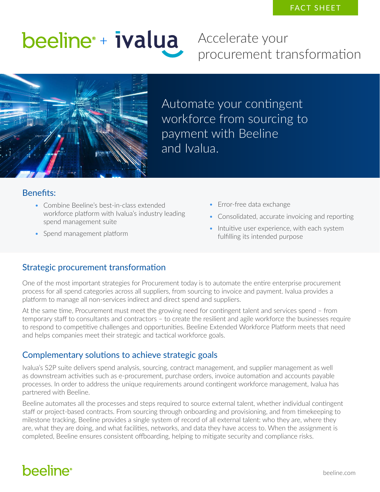# beeline + ivalua

Accelerate your procurement transformation



Automate your contingent workforce from sourcing to payment with Beeline and Ivalua.

#### Benefits:

- Combine Beeline's best-in-class extended workforce platform with Ivalua's industry leading spend management suite
- Spend management platform
- Error-free data exchange
- Consolidated, accurate invoicing and reporting
- Intuitive user experience, with each system fulfilling its intended purpose

#### Strategic procurement transformation

One of the most important strategies for Procurement today is to automate the entire enterprise procurement process for all spend categories across all suppliers, from sourcing to invoice and payment. Ivalua provides a platform to manage all non-services indirect and direct spend and suppliers.

At the same time, Procurement must meet the growing need for contingent talent and services spend – from temporary staff to consultants and contractors – to create the resilient and agile workforce the businesses require to respond to competitive challenges and opportunities. Beeline Extended Workforce Platform meets that need and helps companies meet their strategic and tactical workforce goals.

#### Complementary solutions to achieve strategic goals

Ivalua's S2P suite delivers spend analysis, sourcing, contract management, and supplier management as well as downstream activities such as e-procurement, purchase orders, invoice automation and accounts payable processes. In order to address the unique requirements around contingent workforce management, Ivalua has partnered with Beeline.

Beeline automates all the processes and steps required to source external talent, whether individual contingent staff or project-based contracts. From sourcing through onboarding and provisioning, and from timekeeping to milestone tracking, Beeline provides a single system of record of all external talent: who they are, where they are, what they are doing, and what facilities, networks, and data they have access to. When the assignment is completed, Beeline ensures consistent offboarding, helping to mitigate security and compliance risks.

### **beeline**